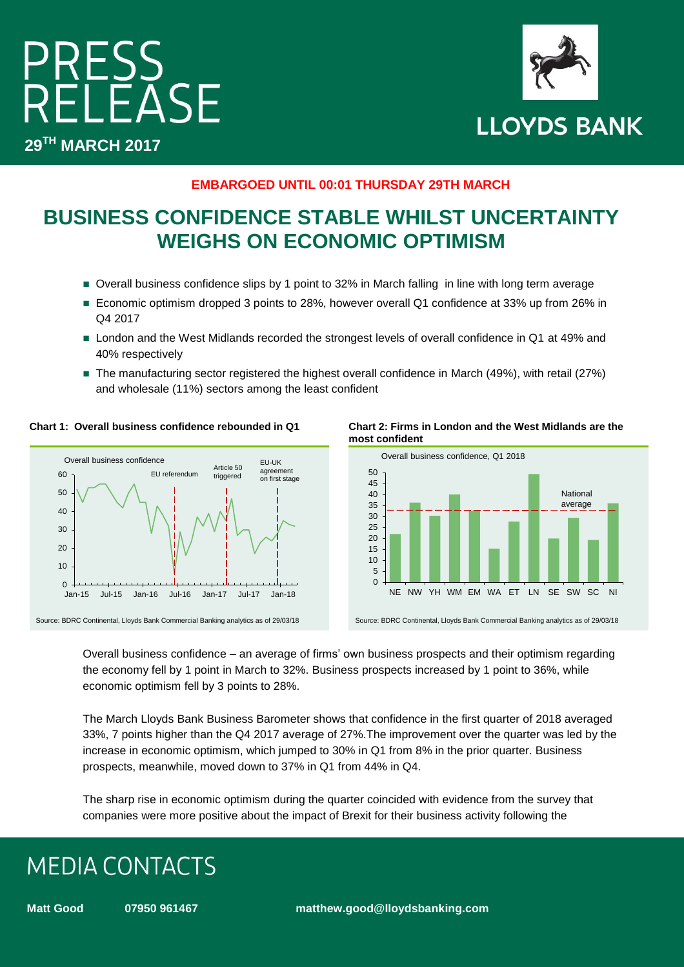## PRESS<br>RELEASE **29TH MARCH 2017**



#### **EMBARGOED UNTIL 00:01 THURSDAY 29TH MARCH**

### **BUSINESS CONFIDENCE STABLE WHILST UNCERTAINTY WEIGHS ON ECONOMIC OPTIMISM**

- Overall business confidence slips by 1 point to 32% in March falling in line with long term average
- Economic optimism dropped 3 points to 28%, however overall Q1 confidence at 33% up from 26% in Q4 2017
- London and the West Midlands recorded the strongest levels of overall confidence in Q1 at 49% and 40% respectively
- The manufacturing sector registered the highest overall confidence in March (49%), with retail (27%) and wholesale (11%) sectors among the least confident



**Chart 1: Overall business confidence rebounded in Q1 Chart 2: Firms in London and the West Midlands are the most confident**



Overall business confidence – an average of firms' own business prospects and their optimism regarding the economy fell by 1 point in March to 32%. Business prospects increased by 1 point to 36%, while economic optimism fell by 3 points to 28%.

The March Lloyds Bank Business Barometer shows that confidence in the first quarter of 2018 averaged 33%, 7 points higher than the Q4 2017 average of 27%.The improvement over the quarter was led by the increase in economic optimism, which jumped to 30% in Q1 from 8% in the prior quarter. Business prospects, meanwhile, moved down to 37% in Q1 from 44% in Q4.

The sharp rise in economic optimism during the quarter coincided with evidence from the survey that companies were more positive about the impact of Brexit for their business activity following the

## **MEDIA CONTACTS**

**Matt Good 07950 961467 matthew.good@lloydsbanking.com**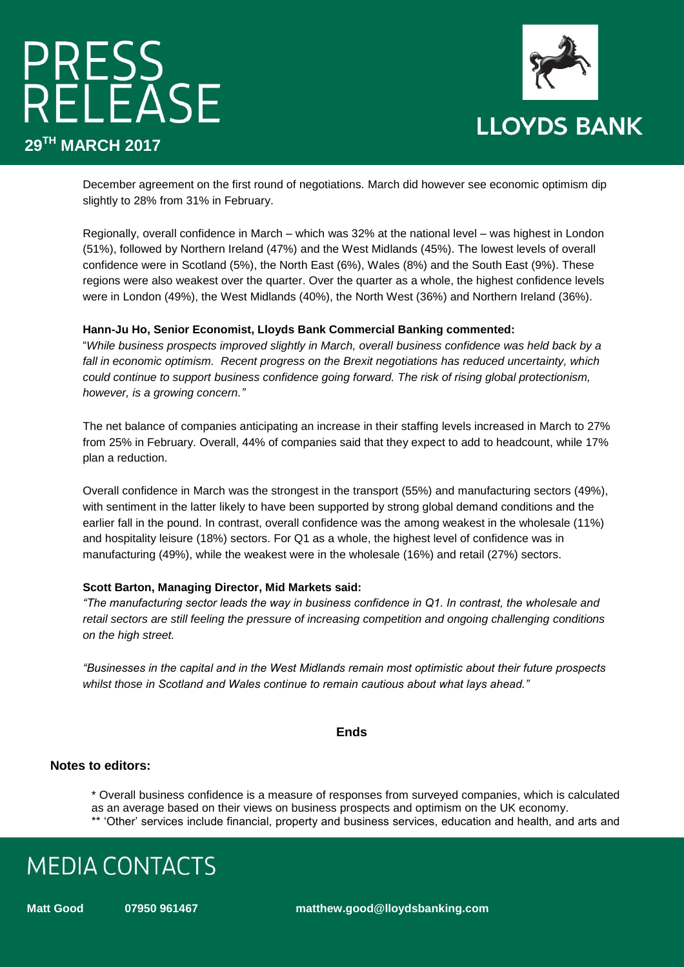# PRESS<br>RELEASE **29TH MARCH 2017**



December agreement on the first round of negotiations. March did however see economic optimism dip slightly to 28% from 31% in February.

Regionally, overall confidence in March – which was 32% at the national level – was highest in London (51%), followed by Northern Ireland (47%) and the West Midlands (45%). The lowest levels of overall confidence were in Scotland (5%), the North East (6%), Wales (8%) and the South East (9%). These regions were also weakest over the quarter. Over the quarter as a whole, the highest confidence levels were in London (49%), the West Midlands (40%), the North West (36%) and Northern Ireland (36%).

#### **Hann-Ju Ho, Senior Economist, Lloyds Bank Commercial Banking commented:**

"*While business prospects improved slightly in March, overall business confidence was held back by a fall in economic optimism. Recent progress on the Brexit negotiations has reduced uncertainty, which could continue to support business confidence going forward. The risk of rising global protectionism, however, is a growing concern."*

The net balance of companies anticipating an increase in their staffing levels increased in March to 27% from 25% in February. Overall, 44% of companies said that they expect to add to headcount, while 17% plan a reduction.

Overall confidence in March was the strongest in the transport (55%) and manufacturing sectors (49%), with sentiment in the latter likely to have been supported by strong global demand conditions and the earlier fall in the pound. In contrast, overall confidence was the among weakest in the wholesale (11%) and hospitality leisure (18%) sectors. For Q1 as a whole, the highest level of confidence was in manufacturing (49%), while the weakest were in the wholesale (16%) and retail (27%) sectors.

#### **Scott Barton, Managing Director, Mid Markets said:**

*"The manufacturing sector leads the way in business confidence in Q1. In contrast, the wholesale and retail sectors are still feeling the pressure of increasing competition and ongoing challenging conditions on the high street.* 

*"Businesses in the capital and in the West Midlands remain most optimistic about their future prospects whilst those in Scotland and Wales continue to remain cautious about what lays ahead."*

#### **Ends**

#### **Notes to editors:**

\* Overall business confidence is a measure of responses from surveyed companies, which is calculated as an average based on their views on business prospects and optimism on the UK economy. \*\* 'Other' services include financial, property and business services, education and health, and arts and

### **MEDIA CONTACTS**

**Matt Good 07950 961467 matthew.good@lloydsbanking.com**